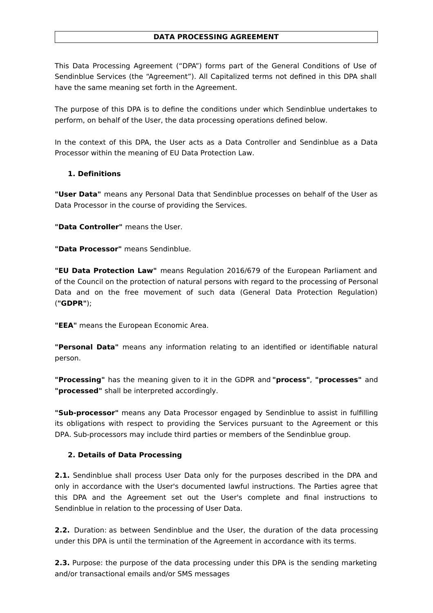#### **DATA PROCESSING AGREEMENT**

This Data Processing Agreement ("DPA") forms part of the General Conditions of Use of Sendinblue Services (the "Agreement"). All Capitalized terms not defined in this DPA shall have the same meaning set forth in the Agreement.

The purpose of this DPA is to define the conditions under which Sendinblue undertakes to perform, on behalf of the User, the data processing operations defined below.

In the context of this DPA, the User acts as a Data Controller and Sendinblue as a Data Processor within the meaning of EU Data Protection Law.

### **1. Definitions**

**"User Data"** means any Personal Data that Sendinblue processes on behalf of the User as Data Processor in the course of providing the Services.

**"Data Controller"** means the User.

**"Data Processor"** means Sendinblue.

**"EU Data Protection Law"** means Regulation 2016/679 of the European Parliament and of the Council on the protection of natural persons with regard to the processing of Personal Data and on the free movement of such data (General Data Protection Regulation) (**"GDPR"**);

**"EEA"** means the European Economic Area.

**"Personal Data"** means any information relating to an identified or identifiable natural person.

**"Processing"** has the meaning given to it in the GDPR and **"process"**, **"processes"** and **"processed"** shall be interpreted accordingly.

**"Sub-processor"** means any Data Processor engaged by Sendinblue to assist in fulfilling its obligations with respect to providing the Services pursuant to the Agreement or this DPA. Sub-processors may include third parties or members of the Sendinblue group.

### **2. Details of Data Processing**

**2.1.** Sendinblue shall process User Data only for the purposes described in the DPA and only in accordance with the User's documented lawful instructions. The Parties agree that this DPA and the Agreement set out the User's complete and final instructions to Sendinblue in relation to the processing of User Data.

**2.2.** Duration: as between Sendinblue and the User, the duration of the data processing under this DPA is until the termination of the Agreement in accordance with its terms.

**2.3.** Purpose: the purpose of the data processing under this DPA is the sending marketing and/or transactional emails and/or SMS messages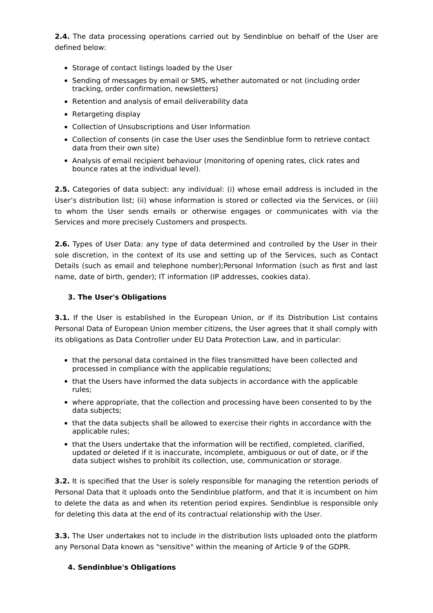**2.4.** The data processing operations carried out by Sendinblue on behalf of the User are defined below:

- Storage of contact listings loaded by the User
- Sending of messages by email or SMS, whether automated or not (including order tracking, order confirmation, newsletters)
- Retention and analysis of email deliverability data
- Retargeting display
- Collection of Unsubscriptions and User Information
- Collection of consents (in case the User uses the Sendinblue form to retrieve contact data from their own site)
- Analysis of email recipient behaviour (monitoring of opening rates, click rates and bounce rates at the individual level).

**2.5.** Categories of data subject: any individual: (i) whose email address is included in the User's distribution list; (ii) whose information is stored or collected via the Services, or (iii) to whom the User sends emails or otherwise engages or communicates with via the Services and more precisely Customers and prospects.

**2.6.** Types of User Data: any type of data determined and controlled by the User in their sole discretion, in the context of its use and setting up of the Services, such as Contact Details (such as email and telephone number);Personal Information (such as first and last name, date of birth, gender); IT information (IP addresses, cookies data).

### **3. The User's Obligations**

**3.1.** If the User is established in the European Union, or if its Distribution List contains Personal Data of European Union member citizens, the User agrees that it shall comply with its obligations as Data Controller under EU Data Protection Law, and in particular:

- that the personal data contained in the files transmitted have been collected and processed in compliance with the applicable regulations;
- that the Users have informed the data subjects in accordance with the applicable rules;
- where appropriate, that the collection and processing have been consented to by the data subjects;
- that the data subjects shall be allowed to exercise their rights in accordance with the applicable rules;
- that the Users undertake that the information will be rectified, completed, clarified, updated or deleted if it is inaccurate, incomplete, ambiguous or out of date, or if the data subject wishes to prohibit its collection, use, communication or storage.

**3.2.** It is specified that the User is solely responsible for managing the retention periods of Personal Data that it uploads onto the Sendinblue platform, and that it is incumbent on him to delete the data as and when its retention period expires. Sendinblue is responsible only for deleting this data at the end of its contractual relationship with the User.

**3.3.** The User undertakes not to include in the distribution lists uploaded onto the platform any Personal Data known as "sensitive" within the meaning of Article 9 of the GDPR.

### **4. Sendinblue's Obligations**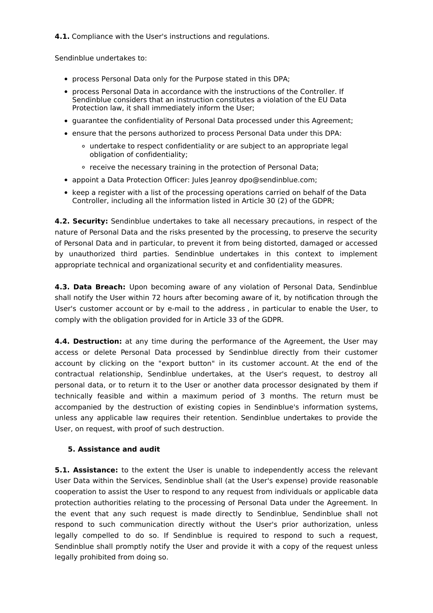**4.1.** Compliance with the User's instructions and regulations.

Sendinblue undertakes to:

- process Personal Data only for the Purpose stated in this DPA;
- process Personal Data in accordance with the instructions of the Controller. If Sendinblue considers that an instruction constitutes a violation of the EU Data Protection law, it shall immediately inform the User;
- guarantee the confidentiality of Personal Data processed under this Agreement;
- ensure that the persons authorized to process Personal Data under this DPA:
	- undertake to respect confidentiality or are subject to an appropriate legal obligation of confidentiality;
	- receive the necessary training in the protection of Personal Data;
- appoint a Data Protection Officer: Jules Jeanroy dpo@sendinblue.com;
- keep a register with a list of the processing operations carried on behalf of the Data Controller, including all the information listed in Article 30 (2) of the GDPR;

**4.2. Security:** Sendinblue undertakes to take all necessary precautions, in respect of the nature of Personal Data and the risks presented by the processing, to preserve the security of Personal Data and in particular, to prevent it from being distorted, damaged or accessed by unauthorized third parties. Sendinblue undertakes in this context to implement appropriate technical and organizational security et and confidentiality measures.

**4.3. Data Breach:** Upon becoming aware of any violation of Personal Data, Sendinblue shall notify the User within 72 hours after becoming aware of it, by notification through the User's customer account or by e-mail to the address , in particular to enable the User, to comply with the obligation provided for in Article 33 of the GDPR.

**4.4. Destruction:** at any time during the performance of the Agreement, the User may access or delete Personal Data processed by Sendinblue directly from their customer account by clicking on the "export button" in its customer account. At the end of the contractual relationship, Sendinblue undertakes, at the User's request, to destroy all personal data, or to return it to the User or another data processor designated by them if technically feasible and within a maximum period of 3 months. The return must be accompanied by the destruction of existing copies in Sendinblue's information systems, unless any applicable law requires their retention. Sendinblue undertakes to provide the User, on request, with proof of such destruction.

### **5. Assistance and audit**

**5.1. Assistance:** to the extent the User is unable to independently access the relevant User Data within the Services, Sendinblue shall (at the User's expense) provide reasonable cooperation to assist the User to respond to any request from individuals or applicable data protection authorities relating to the processing of Personal Data under the Agreement. In the event that any such request is made directly to Sendinblue, Sendinblue shall not respond to such communication directly without the User's prior authorization, unless legally compelled to do so. If Sendinblue is required to respond to such a request, Sendinblue shall promptly notify the User and provide it with a copy of the request unless legally prohibited from doing so.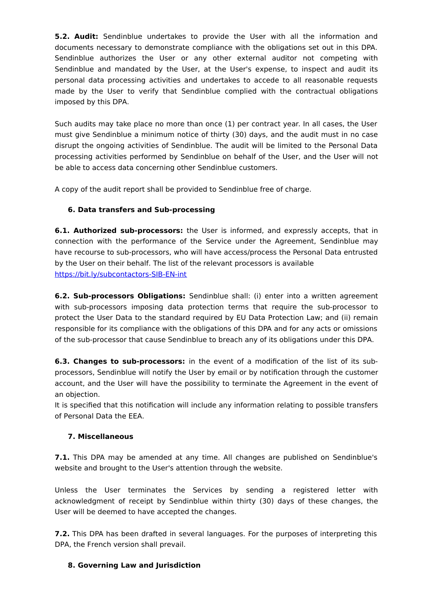**5.2. Audit:** Sendinblue undertakes to provide the User with all the information and documents necessary to demonstrate compliance with the obligations set out in this DPA. Sendinblue authorizes the User or any other external auditor not competing with Sendinblue and mandated by the User, at the User's expense, to inspect and audit its personal data processing activities and undertakes to accede to all reasonable requests made by the User to verify that Sendinblue complied with the contractual obligations imposed by this DPA.

Such audits may take place no more than once (1) per contract year. In all cases, the User must give Sendinblue a minimum notice of thirty (30) days, and the audit must in no case disrupt the ongoing activities of Sendinblue. The audit will be limited to the Personal Data processing activities performed by Sendinblue on behalf of the User, and the User will not be able to access data concerning other Sendinblue customers.

A copy of the audit report shall be provided to Sendinblue free of charge.

# **6. Data transfers and Sub-processing**

**6.1. Authorized sub-processors:** the User is informed, and expressly accepts, that in connection with the performance of the Service under the Agreement, Sendinblue may have recourse to sub-processors, who will have access/process the Personal Data entrusted by the User on their behalf. The list of the relevant processors is available <https://bit.ly/subcontactors-SIB-EN-int>

**6.2. Sub-processors Obligations:** Sendinblue shall: (i) enter into a written agreement with sub-processors imposing data protection terms that require the sub-processor to protect the User Data to the standard required by EU Data Protection Law; and (ii) remain responsible for its compliance with the obligations of this DPA and for any acts or omissions of the sub-processor that cause Sendinblue to breach any of its obligations under this DPA.

**6.3. Changes to sub-processors:** in the event of a modification of the list of its subprocessors, Sendinblue will notify the User by email or by notification through the customer account, and the User will have the possibility to terminate the Agreement in the event of an objection.

It is specified that this notification will include any information relating to possible transfers of Personal Data the EEA.

## **7. Miscellaneous**

**7.1.** This DPA may be amended at any time. All changes are published on Sendinblue's website and brought to the User's attention through the website.

Unless the User terminates the Services by sending a registered letter with acknowledgment of receipt by Sendinblue within thirty (30) days of these changes, the User will be deemed to have accepted the changes.

**7.2.** This DPA has been drafted in several languages. For the purposes of interpreting this DPA, the French version shall prevail.

### **8. Governing Law and Jurisdiction**